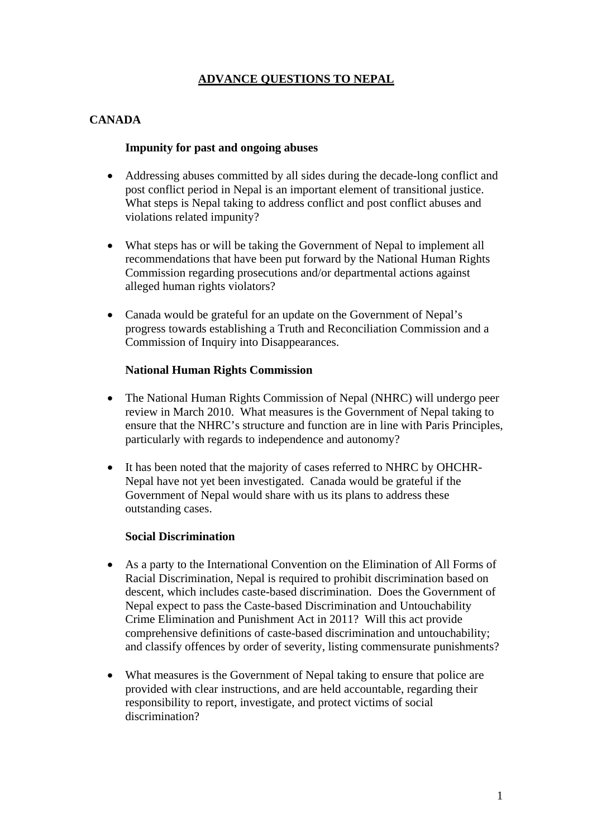# **ADVANCE QUESTIONS TO NEPAL**

# **CANADA**

### **Impunity for past and ongoing abuses**

- Addressing abuses committed by all sides during the decade-long conflict and post conflict period in Nepal is an important element of transitional justice. What steps is Nepal taking to address conflict and post conflict abuses and violations related impunity?
- What steps has or will be taking the Government of Nepal to implement all recommendations that have been put forward by the National Human Rights Commission regarding prosecutions and/or departmental actions against alleged human rights violators?
- Canada would be grateful for an update on the Government of Nepal's progress towards establishing a Truth and Reconciliation Commission and a Commission of Inquiry into Disappearances.

#### **National Human Rights Commission**

- The National Human Rights Commission of Nepal (NHRC) will undergo peer review in March 2010. What measures is the Government of Nepal taking to ensure that the NHRC's structure and function are in line with Paris Principles, particularly with regards to independence and autonomy?
- It has been noted that the majority of cases referred to NHRC by OHCHR-Nepal have not yet been investigated. Canada would be grateful if the Government of Nepal would share with us its plans to address these outstanding cases.

#### **Social Discrimination**

- As a party to the International Convention on the Elimination of All Forms of Racial Discrimination, Nepal is required to prohibit discrimination based on descent, which includes caste-based discrimination. Does the Government of Nepal expect to pass the Caste-based Discrimination and Untouchability Crime Elimination and Punishment Act in 2011? Will this act provide comprehensive definitions of caste-based discrimination and untouchability; and classify offences by order of severity, listing commensurate punishments?
- What measures is the Government of Nepal taking to ensure that police are provided with clear instructions, and are held accountable, regarding their responsibility to report, investigate, and protect victims of social discrimination?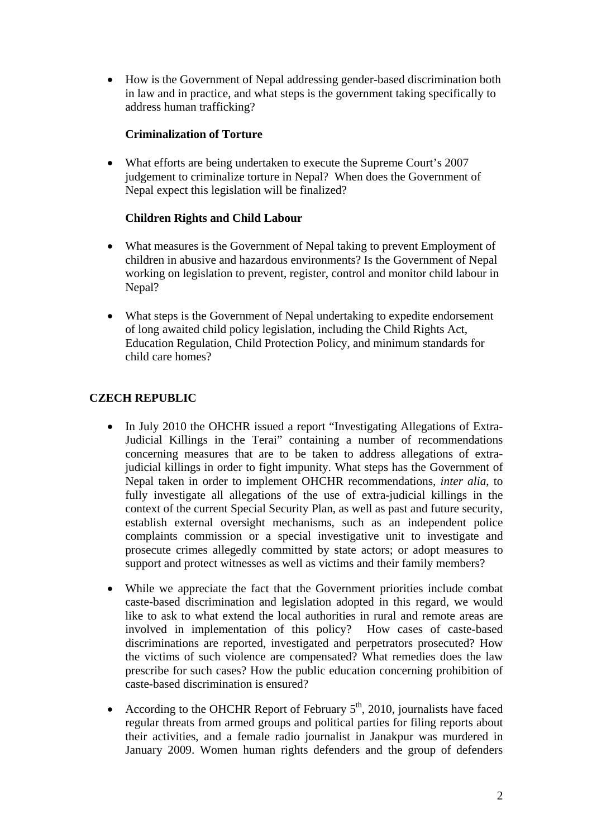• How is the Government of Nepal addressing gender-based discrimination both in law and in practice, and what steps is the government taking specifically to address human trafficking?

### **Criminalization of Torture**

• What efforts are being undertaken to execute the Supreme Court's 2007 judgement to criminalize torture in Nepal? When does the Government of Nepal expect this legislation will be finalized?

### **Children Rights and Child Labour**

- What measures is the Government of Nepal taking to prevent Employment of children in abusive and hazardous environments? Is the Government of Nepal working on legislation to prevent, register, control and monitor child labour in Nepal?
- What steps is the Government of Nepal undertaking to expedite endorsement of long awaited child policy legislation, including the Child Rights Act, Education Regulation, Child Protection Policy, and minimum standards for child care homes?

# **CZECH REPUBLIC**

- In July 2010 the OHCHR issued a report "Investigating Allegations of Extra-Judicial Killings in the Terai" containing a number of recommendations concerning measures that are to be taken to address allegations of extrajudicial killings in order to fight impunity. What steps has the Government of Nepal taken in order to implement OHCHR recommendations, *inter alia*, to fully investigate all allegations of the use of extra-judicial killings in the context of the current Special Security Plan, as well as past and future security, establish external oversight mechanisms, such as an independent police complaints commission or a special investigative unit to investigate and prosecute crimes allegedly committed by state actors; or adopt measures to support and protect witnesses as well as victims and their family members?
- While we appreciate the fact that the Government priorities include combat caste-based discrimination and legislation adopted in this regard, we would like to ask to what extend the local authorities in rural and remote areas are involved in implementation of this policy? How cases of caste-based discriminations are reported, investigated and perpetrators prosecuted? How the victims of such violence are compensated? What remedies does the law prescribe for such cases? How the public education concerning prohibition of caste-based discrimination is ensured?
- According to the OHCHR Report of February  $5<sup>th</sup>$ , 2010, journalists have faced regular threats from armed groups and political parties for filing reports about their activities, and a female radio journalist in Janakpur was murdered in January 2009. Women human rights defenders and the group of defenders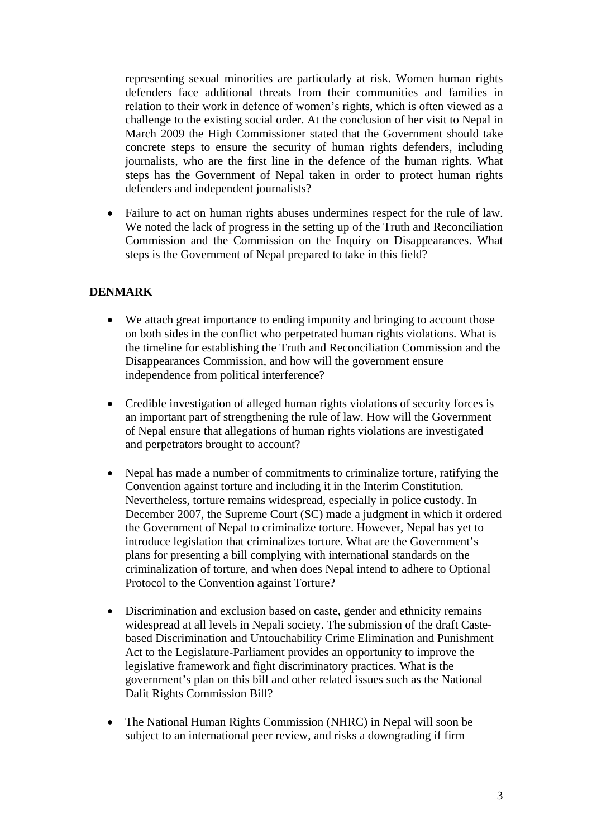representing sexual minorities are particularly at risk. Women human rights defenders face additional threats from their communities and families in relation to their work in defence of women's rights, which is often viewed as a challenge to the existing social order. At the conclusion of her visit to Nepal in March 2009 the High Commissioner stated that the Government should take concrete steps to ensure the security of human rights defenders, including journalists, who are the first line in the defence of the human rights. What steps has the Government of Nepal taken in order to protect human rights defenders and independent journalists?

• Failure to act on human rights abuses undermines respect for the rule of law. We noted the lack of progress in the setting up of the Truth and Reconciliation Commission and the Commission on the Inquiry on Disappearances. What steps is the Government of Nepal prepared to take in this field?

## **DENMARK**

- We attach great importance to ending impunity and bringing to account those on both sides in the conflict who perpetrated human rights violations. What is the timeline for establishing the Truth and Reconciliation Commission and the Disappearances Commission, and how will the government ensure independence from political interference?
- Credible investigation of alleged human rights violations of security forces is an important part of strengthening the rule of law. How will the Government of Nepal ensure that allegations of human rights violations are investigated and perpetrators brought to account?
- Nepal has made a number of commitments to criminalize torture, ratifying the Convention against torture and including it in the Interim Constitution. Nevertheless, torture remains widespread, especially in police custody. In December 2007, the Supreme Court (SC) made a judgment in which it ordered the Government of Nepal to criminalize torture. However, Nepal has yet to introduce legislation that criminalizes torture. What are the Government's plans for presenting a bill complying with international standards on the criminalization of torture, and when does Nepal intend to adhere to Optional Protocol to the Convention against Torture?
- Discrimination and exclusion based on caste, gender and ethnicity remains widespread at all levels in Nepali society. The submission of the draft Castebased Discrimination and Untouchability Crime Elimination and Punishment Act to the Legislature-Parliament provides an opportunity to improve the legislative framework and fight discriminatory practices. What is the government's plan on this bill and other related issues such as the National Dalit Rights Commission Bill?
- The National Human Rights Commission (NHRC) in Nepal will soon be subject to an international peer review, and risks a downgrading if firm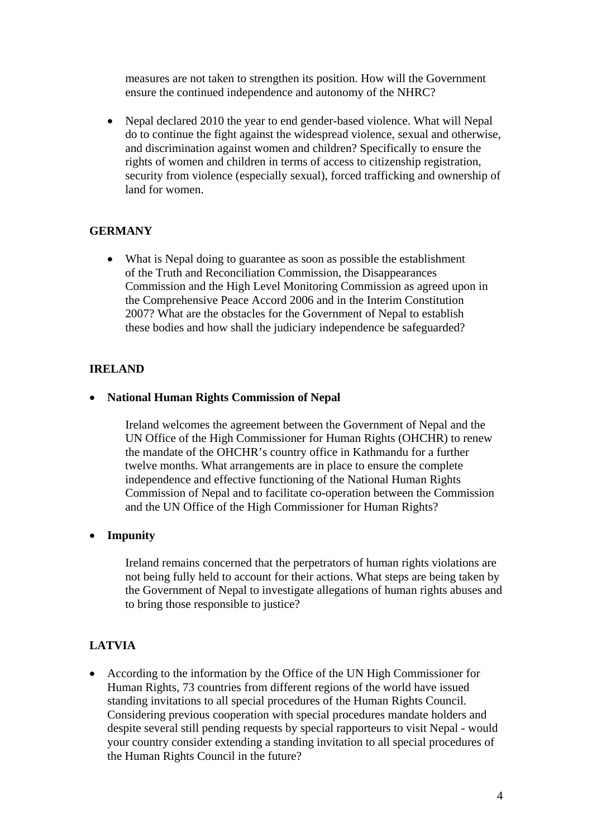measures are not taken to strengthen its position. How will the Government ensure the continued independence and autonomy of the NHRC?

• Nepal declared 2010 the year to end gender-based violence. What will Nepal do to continue the fight against the widespread violence, sexual and otherwise, and discrimination against women and children? Specifically to ensure the rights of women and children in terms of access to citizenship registration, security from violence (especially sexual), forced trafficking and ownership of land for women.

## **GERMANY**

• What is Nepal doing to guarantee as soon as possible the establishment of the Truth and Reconciliation Commission, the Disappearances Commission and the High Level Monitoring Commission as agreed upon in the Comprehensive Peace Accord 2006 and in the Interim Constitution 2007? What are the obstacles for the Government of Nepal to establish these bodies and how shall the judiciary independence be safeguarded?

## **IRELAND**

#### • **National Human Rights Commission of Nepal**

 Ireland welcomes the agreement between the Government of Nepal and the UN Office of the High Commissioner for Human Rights (OHCHR) to renew the mandate of the OHCHR's country office in Kathmandu for a further twelve months. What arrangements are in place to ensure the complete independence and effective functioning of the National Human Rights Commission of Nepal and to facilitate co-operation between the Commission and the UN Office of the High Commissioner for Human Rights?

#### • **Impunity**

 Ireland remains concerned that the perpetrators of human rights violations are not being fully held to account for their actions. What steps are being taken by the Government of Nepal to investigate allegations of human rights abuses and to bring those responsible to justice?

## **LATVIA**

• According to the information by the Office of the UN High Commissioner for Human Rights, 73 countries from different regions of the world have issued standing invitations to all special procedures of the Human Rights Council. Considering previous cooperation with special procedures mandate holders and despite several still pending requests by special rapporteurs to visit Nepal - would your country consider extending a standing invitation to all special procedures of the Human Rights Council in the future?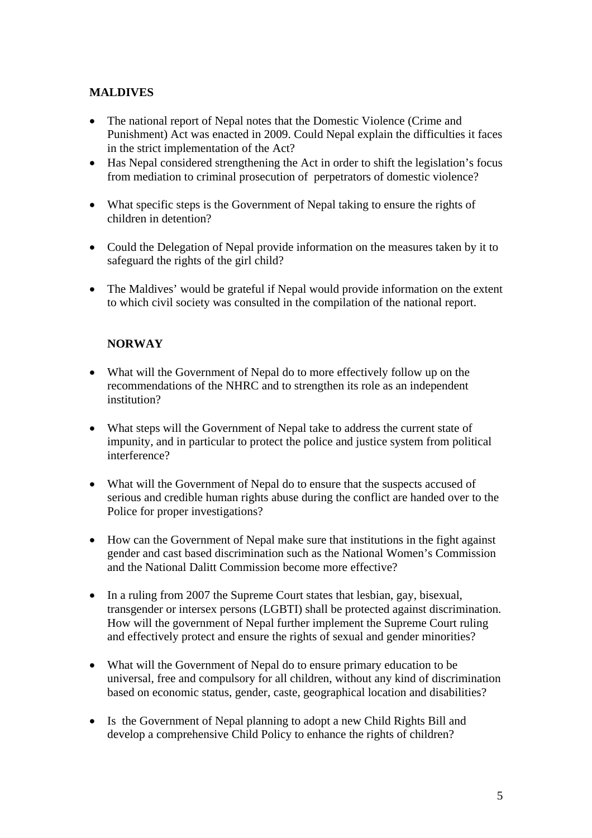# **MALDIVES**

- The national report of Nepal notes that the Domestic Violence (Crime and Punishment) Act was enacted in 2009. Could Nepal explain the difficulties it faces in the strict implementation of the Act?
- Has Nepal considered strengthening the Act in order to shift the legislation's focus from mediation to criminal prosecution of perpetrators of domestic violence?
- What specific steps is the Government of Nepal taking to ensure the rights of children in detention?
- Could the Delegation of Nepal provide information on the measures taken by it to safeguard the rights of the girl child?
- The Maldives' would be grateful if Nepal would provide information on the extent to which civil society was consulted in the compilation of the national report.

# **NORWAY**

- What will the Government of Nepal do to more effectively follow up on the recommendations of the NHRC and to strengthen its role as an independent institution?
- What steps will the Government of Nepal take to address the current state of impunity, and in particular to protect the police and justice system from political interference?
- What will the Government of Nepal do to ensure that the suspects accused of serious and credible human rights abuse during the conflict are handed over to the Police for proper investigations?
- How can the Government of Nepal make sure that institutions in the fight against gender and cast based discrimination such as the National Women's Commission and the National Dalitt Commission become more effective?
- In a ruling from 2007 the Supreme Court states that lesbian, gay, bisexual, transgender or intersex persons (LGBTI) shall be protected against discrimination. How will the government of Nepal further implement the Supreme Court ruling and effectively protect and ensure the rights of sexual and gender minorities?
- What will the Government of Nepal do to ensure primary education to be universal, free and compulsory for all children, without any kind of discrimination based on economic status, gender, caste, geographical location and disabilities?
- Is the Government of Nepal planning to adopt a new Child Rights Bill and develop a comprehensive Child Policy to enhance the rights of children?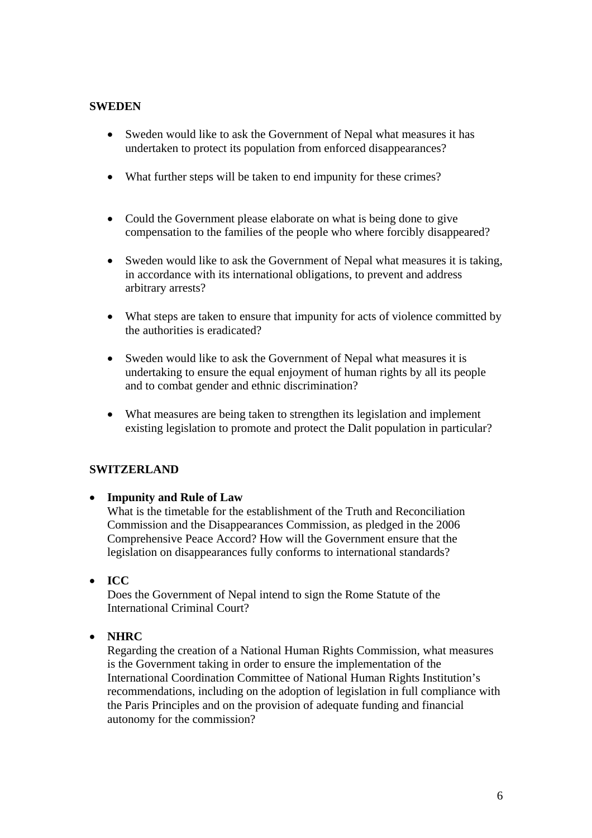#### **SWEDEN**

- Sweden would like to ask the Government of Nepal what measures it has undertaken to protect its population from enforced disappearances?
- What further steps will be taken to end impunity for these crimes?
- Could the Government please elaborate on what is being done to give compensation to the families of the people who where forcibly disappeared?
- Sweden would like to ask the Government of Nepal what measures it is taking, in accordance with its international obligations, to prevent and address arbitrary arrests?
- What steps are taken to ensure that impunity for acts of violence committed by the authorities is eradicated?
- Sweden would like to ask the Government of Nepal what measures it is undertaking to ensure the equal enjoyment of human rights by all its people and to combat gender and ethnic discrimination?
- What measures are being taken to strengthen its legislation and implement existing legislation to promote and protect the Dalit population in particular?

## **SWITZERLAND**

#### • **Impunity and Rule of Law**

What is the timetable for the establishment of the Truth and Reconciliation Commission and the Disappearances Commission, as pledged in the 2006 Comprehensive Peace Accord? How will the Government ensure that the legislation on disappearances fully conforms to international standards?

• **ICC** 

Does the Government of Nepal intend to sign the Rome Statute of the International Criminal Court?

• **NHRC** 

Regarding the creation of a National Human Rights Commission, what measures is the Government taking in order to ensure the implementation of the International Coordination Committee of National Human Rights Institution's recommendations, including on the adoption of legislation in full compliance with the Paris Principles and on the provision of adequate funding and financial autonomy for the commission?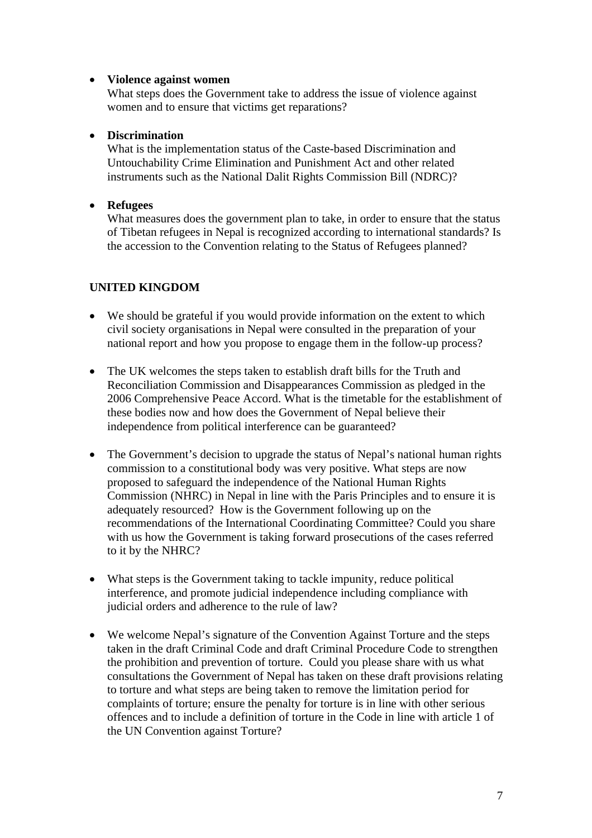### • **Violence against women**

What steps does the Government take to address the issue of violence against women and to ensure that victims get reparations?

### • **Discrimination**

What is the implementation status of the Caste-based Discrimination and Untouchability Crime Elimination and Punishment Act and other related instruments such as the National Dalit Rights Commission Bill (NDRC)?

## • **Refugees**

What measures does the government plan to take, in order to ensure that the status of Tibetan refugees in Nepal is recognized according to international standards? Is the accession to the Convention relating to the Status of Refugees planned?

## **UNITED KINGDOM**

- We should be grateful if you would provide information on the extent to which civil society organisations in Nepal were consulted in the preparation of your national report and how you propose to engage them in the follow-up process?
- The UK welcomes the steps taken to establish draft bills for the Truth and Reconciliation Commission and Disappearances Commission as pledged in the 2006 Comprehensive Peace Accord. What is the timetable for the establishment of these bodies now and how does the Government of Nepal believe their independence from political interference can be guaranteed?
- The Government's decision to upgrade the status of Nepal's national human rights commission to a constitutional body was very positive. What steps are now proposed to safeguard the independence of the National Human Rights Commission (NHRC) in Nepal in line with the Paris Principles and to ensure it is adequately resourced? How is the Government following up on the recommendations of the International Coordinating Committee? Could you share with us how the Government is taking forward prosecutions of the cases referred to it by the NHRC?
- What steps is the Government taking to tackle impunity, reduce political interference, and promote judicial independence including compliance with judicial orders and adherence to the rule of law?
- We welcome Nepal's signature of the Convention Against Torture and the steps taken in the draft Criminal Code and draft Criminal Procedure Code to strengthen the prohibition and prevention of torture. Could you please share with us what consultations the Government of Nepal has taken on these draft provisions relating to torture and what steps are being taken to remove the limitation period for complaints of torture; ensure the penalty for torture is in line with other serious offences and to include a definition of torture in the Code in line with article 1 of the UN Convention against Torture?